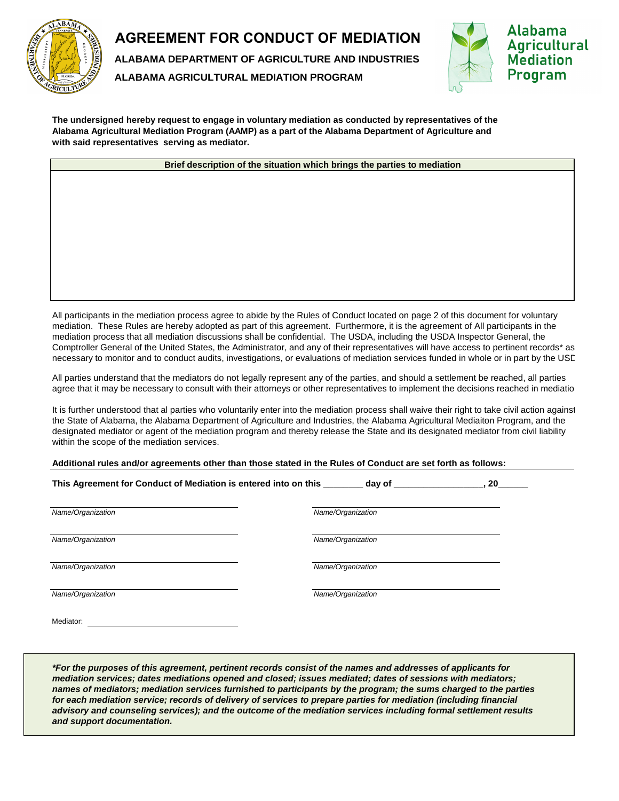

## **AGREEMENT FOR CONDUCT OF MEDIATION**

**ALABAMA DEPARTMENT OF AGRICULTURE AND INDUSTRIES**

**ALABAMA AGRICULTURAL MEDIATION PROGRAM**



**The undersigned hereby request to engage in voluntary mediation as conducted by representatives of the Alabama Agricultural Mediation Program (AAMP) as a part of the Alabama Department of Agriculture and with said representatives serving as mediator.**

**Brief description of the situation which brings the parties to mediation**

All participants in the mediation process agree to abide by the Rules of Conduct located on page 2 of this document for voluntary mediation. These Rules are hereby adopted as part of this agreement. Furthermore, it is the agreement of All participants in the mediation process that all mediation discussions shall be confidential. The USDA, including the USDA Inspector General, the Comptroller General of the United States, the Administrator, and any of their representatives will have access to pertinent records\* as necessary to monitor and to conduct audits, investigations, or evaluations of mediation services funded in whole or in part by the USD

All parties understand that the mediators do not legally represent any of the parties, and should a settlement be reached, all parties agree that it may be necessary to consult with their attorneys or other representatives to implement the decisions reached in mediatio

It is further understood that al parties who voluntarily enter into the mediation process shall waive their right to take civil action against the State of Alabama, the Alabama Department of Agriculture and Industries, the Alabama Agricultural Mediaiton Program, and the designated mediator or agent of the mediation program and thereby release the State and its designated mediator from civil liability within the scope of the mediation services.

**Additional rules and/or agreements other than those stated in the Rules of Conduct are set forth as follows:**

| This Agreement for Conduct of Mediation is entered into on this ____<br>day of<br>20 |                   |  |
|--------------------------------------------------------------------------------------|-------------------|--|
| Name/Organization                                                                    | Name/Organization |  |
| Name/Organization                                                                    | Name/Organization |  |
| Name/Organization                                                                    | Name/Organization |  |
| Name/Organization                                                                    | Name/Organization |  |
| Mediator:                                                                            |                   |  |

*\*For the purposes of this agreement, pertinent records consist of the names and addresses of applicants for mediation services; dates mediations opened and closed; issues mediated; dates of sessions with mediators; names of mediators; mediation services furnished to participants by the program; the sums charged to the parties*  for each mediation service; records of delivery of services to prepare parties for mediation (including financial *advisory and counseling services); and the outcome of the mediation services including formal settlement results and support documentation.*